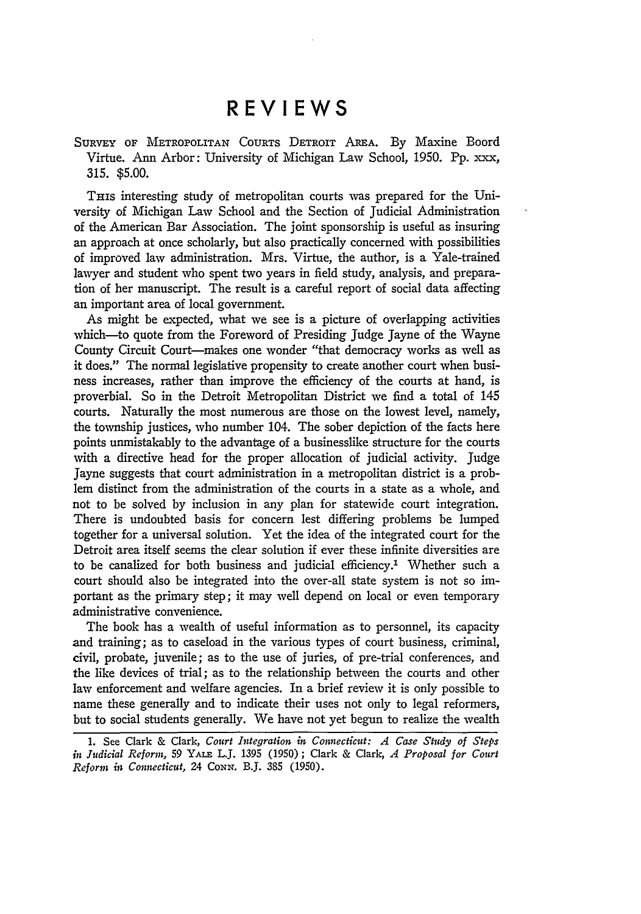## **REVIEWS**

SURVEY OF METROPOLITAN COURTS DETROIT AREA. By Maxine Boord Virtue. Ann Arbor: University of Michigan Law School, 1950. **Pp.** xxx, **315. \$5.00.**

THIS interesting study of metropolitan courts was prepared for the University of Michigan Law School and the Section of Judicial Administration of the American Bar Association. The joint sponsorship is useful as insuring an approach at once scholarly, but also practically concerned with possibilities of improved law administration. Mrs. Virtue, the author, is a Yale-trained lawyer and student who spent two years in field study, analysis, and preparation of her manuscript. The result is a careful report of social data affecting an important area of local government.

As might be expected, what we see is a picture of overlapping activities which-to quote from the Foreword of Presiding Judge Jayne of the Wayne County Circuit Court-makes one wonder "that democracy works as well as it does." The normal legislative propensity to create another court when business increases, rather than improve the efficiency of the courts at hand, is proverbial. So in the Detroit Metropolitan District we find a total of 145 courts. Naturally the most numerous are those on the lowest level, namely, the township justices, who number 104. The sober depiction of the facts here points unmistakably to the advantage of a businesslike structure for the courts with a directive head for the proper allocation of judicial activity. Judge Jayne suggests that court administration in a metropolitan district is a problem distinct from the administration of the courts in a state as a whole, and not to be solved **by** inclusion in any plan for statewide court integration. There is undoubted basis for concern lest differing problems be lumped together for a universal solution. Yet the idea of the integrated court for the Detroit area itself seems the clear solution if ever these infinite diversities are to be canalized for both business and judicial efficiency.' Whether such a court should also be integrated into the over-all state system is not so important as the primary step; it may well depend on local or even temporary administrative convenience.

The book has a wealth of useful information as to personnel, its capacity and training; as to caseload in the various types of court business, criminal, civil, probate, juvenile; as to the use of juries, of pre-trial conferences, and the like devices of trial; as to the relationship between the courts and other law enforcement and welfare agencies. In a brief review it is only possible to name these generally and to indicate their uses not only to legal reformers, but to social students generally. We have not yet begun to realize the wealth

**<sup>1.</sup>** See Clark & Clark, *Court Integration in Connecticut: A Case Study of Steps in Judicial Reformn, 59* YALE L.J. **1395** (1950); Clark & Clark, *A Proposal for Court Reform ii; Connecticut,* 24 CONN. B.J. **385** (1950).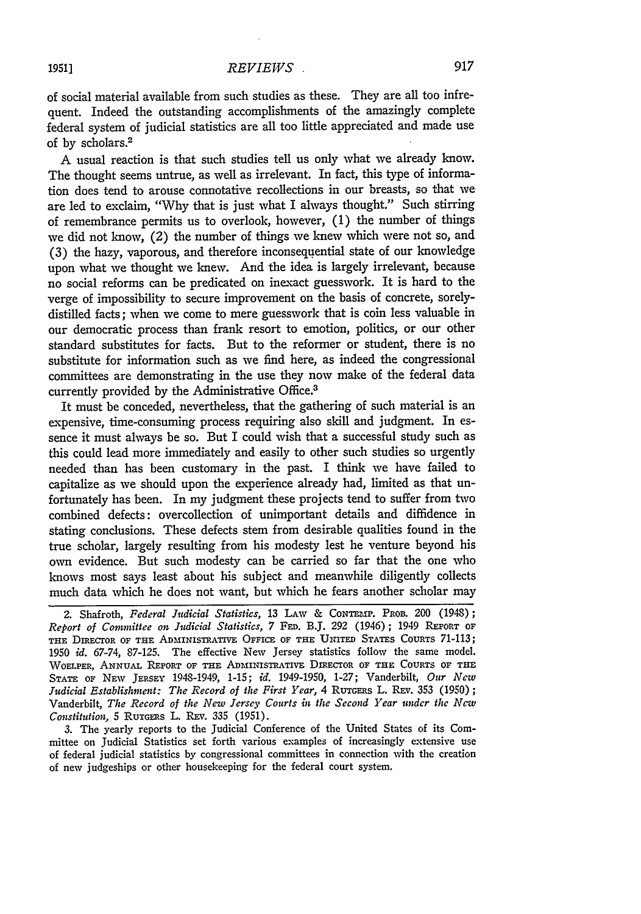of social material available from such studies as these. They are all too infrequent. Indeed the outstanding accomplishments of the amazingly complete federal system of judicial statistics are all too little appreciated and made use of by scholars.<sup>2</sup>

A usual reaction is that such studies tell us only what we already know. The thought seems untrue, as well as irrelevant. In fact, this type of information does tend to arouse connotative recollections in our breasts, so that we are led to exclaim, "Why that is just what I always thought." Such stirring of remembrance permits us to overlook, however, (1) the number of things we did not know, *(2)* the number of things we knew which were not so, and (3) the hazy, vaporous, and therefore inconsequential state of our knowledge upon what we thought we knew. And the idea is largely irrelevant, because no social reforms can be predicated on inexact guesswork. It is hard to the verge of impossibility to secure improvement on the basis of concrete, sorelydistilled facts; when we come to mere guesswork that is coin less valuable in our democratic process than frank resort to emotion, politics, or our other standard substitutes for facts. But to the reformer or student, there is no substitute for information such as we find here, as indeed the congressional committees are demonstrating in the use they now make of the federal data currently provided by the Administrative Office.3

It must be conceded, nevertheless, that the gathering of such material is an expensive, time-consuming process requiring also skill and judgment. In essence it must always be so. But I could wish that a successful study such as this could lead more immediately and easily to other such studies so urgently needed than has been customary in the past. I think we have failed to capitalize as we should upon the experience already had, limited as that unfortunately has been. In my judgment these projects tend to suffer from two combined defects: overcollection of unimportant details and diffidence in stating conclusions. These defects stem from desirable qualities found in the true scholar, largely resulting from his modesty lest he venture beyond his own evidence. But such modesty can be carried so far that the one who knows most says least about his subject and meanwhile diligently collects much data which he does not want, but which he fears another scholar may

3. The yearly reports to the Judicial Conference of the United States of its Committee on Judicial Statistics set forth various examples of increasingly extensive use of federal judicial statistics by congressional committees in connection with the creation of new judgeships or other housekeeping for the federal court system.

<sup>2.</sup> Shafroth, Federal Judicial Statistics, 13 LAW & CONTEMP. PROB. 200 (1948); *Report of Committee on Judicial Statistics,* 7 FED. B.J. 292 (1946); 1949 *REPORT* **OF** THE DmEcTOR OF THE ADMINISTRATIVE OFFICE OF THE **UNITED** STATES COURTS **71-113;** 1950 *id.* 67-74, 87-125. The effective New Jersey statistics follow the same model. WOELPER, ANNUAL REPORT OF THE ADmINISTRATIVE DIRECTOR OF THE COURTS OF THE STATE OF NEw JERSEY 1948-1949, 1-15; *id.* 1949-1950, 1-27; Vanderbilt, *Our New Judicial Establishment: The Record of the First Year, 4 RUTGERS L. REV. 353 (1950)*; Vanderbilt, *The Record of the New Jersey Courts in the Second Year under the New Constitution,* 5 RUTGERS L. REv. 335 (1951).